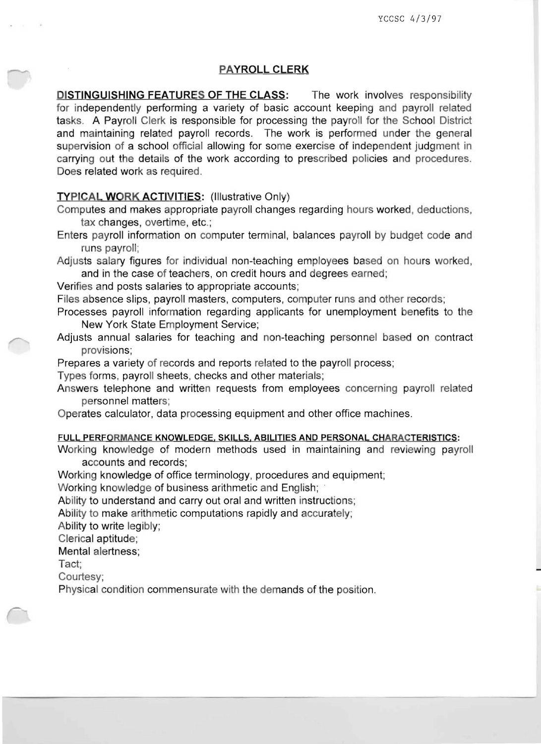## PAYROLL CLERK

**DISTINGUISHING FEATURES OF THE CLASS:** The work involves responsibility for independently performing a variety of basic account keeping and payroll related tasks. A Payroll Clerk is responsible for processing the payroll for the School District and maintaining related payroll records. The work is performed under the general supervision of a school official allowing for some exercise of independent judgment in carrying out the details of the work according to prescribed policies and procedures. Does related work as required.

## TYPICAL WORK ACTIVITIES: (Illustrative Only)

Computes and makes appropriate payroll changes regarding hours worked, deductions, tax changes, overtime, etc.;

Enters payroll information on computer terminal, balances payroll by budget code and runs payroll;

Adjusts salary figures for individual non-teaching employees based on hours worked, and in the case of teachers, on credit hours and degrees earned;

Verifies and posts salaries to appropriate accounts;

Files absence slips, payroll masters, computers, computer runs and other records;

Processes payroll information regarding applicants for unemployment benefits to the New York State Employment Service;

Adjusts annual salaries for teaching and non-teaching personnel based on contract provisions;

Prepares a variety of records and reports related to the payroll process;

Types forms, payroll sheets, checks and other materials;

Answers telephone and written requests from employees concerning payroll related personnel matters;

Operates calculator, data processing equipment and other office machines.

#### FULL PERFORMANCE KNOWLEDGE, SKILLS, ABILITIES AND PERSONAL CHARACTERISTICS:

Working knowledge of modern methods used in maintaining and reviewing payroll accounts and records;

Working knowledge of office terminology, procedures and equipment;

Working knowledge of business arithmetic and English;

Ability to understand and carry out oral and written instructions;

Ability to make arithmetic computations rapidly and accurately;

Ability to write legibly;

Clerical aptitude;

Mental alertness;

Tact;

Courtesy;

Physical condition commensurate with the demands of the position.